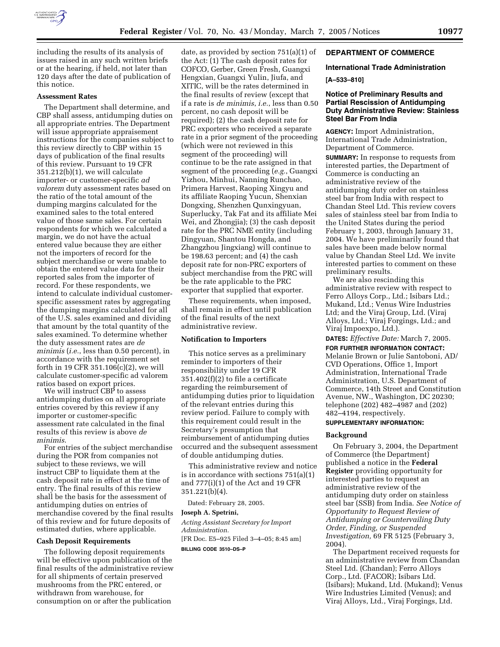

including the results of its analysis of issues raised in any such written briefs or at the hearing, if held, not later than 120 days after the date of publication of this notice.

# **Assessment Rates**

The Department shall determine, and CBP shall assess, antidumping duties on all appropriate entries. The Department will issue appropriate appraisement instructions for the companies subject to this review directly to CBP within 15 days of publication of the final results of this review. Pursuant to 19 CFR 351.212(b)(1), we will calculate importer- or customer-specific *ad valorem* duty assessment rates based on the ratio of the total amount of the dumping margins calculated for the examined sales to the total entered value of those same sales. For certain respondents for which we calculated a margin, we do not have the actual entered value because they are either not the importers of record for the subject merchandise or were unable to obtain the entered value data for their reported sales from the importer of record. For these respondents, we intend to calculate individual customerspecific assessment rates by aggregating the dumping margins calculated for all of the U.S. sales examined and dividing that amount by the total quantity of the sales examined. To determine whether the duty assessment rates are *de minimis* (*i.e.*, less than 0.50 percent), in accordance with the requirement set forth in 19 CFR 351.106(c)(2), we will calculate customer-specific ad valorem ratios based on export prices.

We will instruct CBP to assess antidumping duties on all appropriate entries covered by this review if any importer or customer-specific assessment rate calculated in the final results of this review is above *de minimis*.

For entries of the subject merchandise during the POR from companies not subject to these reviews, we will instruct CBP to liquidate them at the cash deposit rate in effect at the time of entry. The final results of this review shall be the basis for the assessment of antidumping duties on entries of merchandise covered by the final results of this review and for future deposits of estimated duties, where applicable.

### **Cash Deposit Requirements**

The following deposit requirements will be effective upon publication of the final results of the administrative review for all shipments of certain preserved mushrooms from the PRC entered, or withdrawn from warehouse, for consumption on or after the publication

date, as provided by section 751(a)(1) of the Act: (1) The cash deposit rates for COFCO, Gerber, Green Fresh, Guangxi Hengxian, Guangxi Yulin, Jiufa, and XITIC, will be the rates determined in the final results of review (except that if a rate is *de minimis*, *i.e.*, less than 0.50 percent, no cash deposit will be required); (2) the cash deposit rate for PRC exporters who received a separate rate in a prior segment of the proceeding (which were not reviewed in this segment of the proceeding) will continue to be the rate assigned in that segment of the proceeding (*e.g.*, Guangxi Yizhou, Minhui, Nanning Runchao, Primera Harvest, Raoping Xingyu and its affiliate Raoping Yucun, Shenxian Dongxing, Shenzhen Qunxingyuan, Superlucky, Tak Fat and its affiliate Mei Wei, and Zhongjia); (3) the cash deposit rate for the PRC NME entity (including Dingyuan, Shantou Hongda, and Zhangzhou Jingxiang) will continue to be 198.63 percent; and (4) the cash deposit rate for non-PRC exporters of subject merchandise from the PRC will be the rate applicable to the PRC exporter that supplied that exporter.

These requirements, when imposed, shall remain in effect until publication of the final results of the next administrative review.

#### **Notification to Importers**

This notice serves as a preliminary reminder to importers of their responsibility under 19 CFR 351.402(f)(2) to file a certificate regarding the reimbursement of antidumping duties prior to liquidation of the relevant entries during this review period. Failure to comply with this requirement could result in the Secretary's presumption that reimbursement of antidumping duties occurred and the subsequent assessment of double antidumping duties.

This administrative review and notice is in accordance with sections 751(a)(1) and 777(i)(1) of the Act and 19 CFR 351.221(b)(4).

Dated: February 28, 2005.

### **Joseph A. Spetrini,**

*Acting Assistant Secretary for Import Administration.* [FR Doc. E5–925 Filed 3–4–05; 8:45 am]

**BILLING CODE 3510–DS–P**

# **DEPARTMENT OF COMMERCE**

# **International Trade Administration**

# **[A–533–810]**

# **Notice of Preliminary Results and Partial Rescission of Antidumping Duty Administrative Review: Stainless Steel Bar From India**

**AGENCY:** Import Administration, International Trade Administration, Department of Commerce.

**SUMMARY:** In response to requests from interested parties, the Department of Commerce is conducting an administrative review of the antidumping duty order on stainless steel bar from India with respect to Chandan Steel Ltd. This review covers sales of stainless steel bar from India to the United States during the period February 1, 2003, through January 31, 2004. We have preliminarily found that sales have been made below normal value by Chandan Steel Ltd. We invite interested parties to comment on these preliminary results.

We are also rescinding this administrative review with respect to Ferro Alloys Corp., Ltd.; Isibars Ltd.; Mukand, Ltd.; Venus Wire Industries Ltd; and the Viraj Group, Ltd. (Viraj Alloys, Ltd.; Viraj Forgings, Ltd.; and Viraj Impoexpo, Ltd.).

**DATES:** *Effective Date:* March 7, 2005.

**FOR FURTHER INFORMATION CONTACT:** Melanie Brown or Julie Santoboni, AD/ CVD Operations, Office 1, Import Administration, International Trade Administration, U.S. Department of Commerce, 14th Street and Constitution Avenue, NW., Washington, DC 20230; telephone (202) 482–4987 and (202) 482–4194, respectively. **SUPPLEMENTARY INFORMATION:** 

# **Background**

On February 3, 2004, the Department of Commerce (the Department) published a notice in the **Federal Register** providing opportunity for interested parties to request an administrative review of the antidumping duty order on stainless steel bar (SSB) from India. *See Notice of Opportunity to Request Review of Antidumping or Countervailing Duty Order, Finding, or Suspended Investigation,* 69 FR 5125 (February 3, 2004).

The Department received requests for an administrative review from Chandan Steel Ltd. (Chandan); Ferro Alloys Corp., Ltd. (FACOR); Isibars Ltd. (Isibars); Mukand, Ltd. (Mukand); Venus Wire Industries Limited (Venus); and Viraj Alloys, Ltd., Viraj Forgings, Ltd.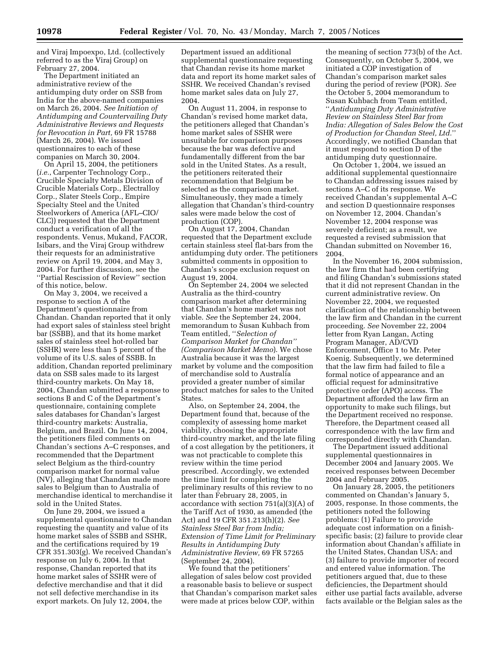and Viraj Impoexpo, Ltd. (collectively referred to as the Viraj Group) on February 27, 2004.

The Department initiated an administrative review of the antidumping duty order on SSB from India for the above-named companies on March 26, 2004. *See Initiation of Antidumping and Countervailing Duty Administrative Reviews and Requests for Revocation in Part,* 69 FR 15788 (March 26, 2004). We issued questionnaires to each of these companies on March 30, 2004.

On April 15, 2004, the petitioners (*i.e.*, Carpenter Technology Corp., Crucible Specialty Metals Division of Crucible Materials Corp., Electralloy Corp., Slater Steels Corp., Empire Specialty Steel and the United Steelworkers of America (AFL–CIO/ CLC)) requested that the Department conduct a verification of all the respondents. Venus, Mukand, FACOR, Isibars, and the Viraj Group withdrew their requests for an administrative review on April 19, 2004, and May 3, 2004. For further discussion, see the ''Partial Rescission of Review'' section of this notice, below.

On May 3, 2004, we received a response to section A of the Department's questionnaire from Chandan. Chandan reported that it only had export sales of stainless steel bright bar (SSBB), and that its home market sales of stainless steel hot-rolled bar (SSHR) were less than 5 percent of the volume of its U.S. sales of SSBB. In addition, Chandan reported preliminary data on SSB sales made to its largest third-country markets. On May 18, 2004, Chandan submitted a response to sections B and C of the Department's questionnaire, containing complete sales databases for Chandan's largest third-country markets: Australia, Belgium, and Brazil. On June 14, 2004, the petitioners filed comments on Chandan's sections A–C responses, and recommended that the Department select Belgium as the third-country comparison market for normal value (NV), alleging that Chandan made more sales to Belgium than to Australia of merchandise identical to merchandise it sold in the United States.

On June 29, 2004, we issued a supplemental questionnaire to Chandan requesting the quantity and value of its home market sales of SSBB and SSHR, and the certifications required by 19 CFR 351.303(g). We received Chandan's response on July 6, 2004. In that response, Chandan reported that its home market sales of SSHR were of defective merchandise and that it did not sell defective merchandise in its export markets. On July 12, 2004, the

Department issued an additional supplemental questionnaire requesting that Chandan revise its home market data and report its home market sales of SSHR. We received Chandan's revised home market sales data on July 27, 2004.

On August 11, 2004, in response to Chandan's revised home market data, the petitioners alleged that Chandan's home market sales of SSHR were unsuitable for comparison purposes because the bar was defective and fundamentally different from the bar sold in the United States. As a result, the petitioners reiterated their recommendation that Belgium be selected as the comparison market. Simultaneously, they made a timely allegation that Chandan's third-country sales were made below the cost of production (COP).

On August 17, 2004, Chandan requested that the Department exclude certain stainless steel flat-bars from the antidumping duty order. The petitioners submitted comments in opposition to Chandan's scope exclusion request on August 19, 2004.

On September 24, 2004 we selected Australia as the third-country comparison market after determining that Chandan's home market was not viable. *See* the September 24, 2004, memorandum to Susan Kuhbach from Team entitled, ''*Selection of Comparison Market for Chandan'' (Comparison Market Memo*). We chose Australia because it was the largest market by volume and the composition of merchandise sold to Australia provided a greater number of similar product matches for sales to the United States.

Also, on September 24, 2004, the Department found that, because of the complexity of assessing home market viability, choosing the appropriate third-country market, and the late filing of a cost allegation by the petitioners, it was not practicable to complete this review within the time period prescribed. Accordingly, we extended the time limit for completing the preliminary results of this review to no later than February 28, 2005, in accordance with section 751(a)(3)(A) of the Tariff Act of 1930, as amended (the Act) and 19 CFR 351.213(h)(2). *See Stainless Steel Bar from India; Extension of Time Limit for Preliminary Results in Antidumping Duty Administrative Review,* 69 FR 57265 (September 24, 2004).

We found that the petitioners' allegation of sales below cost provided a reasonable basis to believe or suspect that Chandan's comparison market sales were made at prices below COP, within

the meaning of section 773(b) of the Act. Consequently, on October 5, 2004, we initiated a COP investigation of Chandan's comparison market sales during the period of review (POR). *See* the October 5, 2004 memorandum to Susan Kuhbach from Team entitled, ''*Antidumping Duty Administrative Review on Stainless Steel Bar from India: Allegation of Sales Below the Cost of Production for Chandan Steel, Ltd.*'' Accordingly, we notified Chandan that it must respond to section D of the antidumping duty questionnaire.

On October 1, 2004, we issued an additional supplemental questionnaire to Chandan addressing issues raised by sections A–C of its response. We received Chandan's supplemental A–C and section D questionnaire responses on November 12, 2004. Chandan's November 12, 2004 response was severely deficient; as a result, we requested a revised submission that Chandan submitted on November 16, 2004.

In the November 16, 2004 submission, the law firm that had been certifying and filing Chandan's submissions stated that it did not represent Chandan in the current administrative review. On November 22, 2004, we requested clarification of the relationship between the law firm and Chandan in the current proceeding. *See* November 22, 2004 letter from Ryan Langan, Acting Program Manager, AD/CVD Enforcement, Office 1 to Mr. Peter Koenig. Subsequently, we determined that the law firm had failed to file a formal notice of appearance and an official request for adminsitrative protective order (APO) access. The Department afforded the law firm an opportunity to make such filings, but the Department received no response. Therefore, the Department ceased all correspondence with the law firm and corresponded directly with Chandan.

The Department issued additional supplemental questionnaires in December 2004 and January 2005. We received responses between December 2004 and February 2005.

On January 28, 2005, the petitioners commented on Chandan's January 5, 2005, response. In those comments, the petitioners noted the following problems: (1) Failure to provide adequate cost information on a finishspecific basis; (2) failure to provide clear information about Chandan's affiliate in the United States, Chandan USA; and (3) failure to provide importer of record and entered value information. The petitioners argued that, due to these deficiencies, the Department should either use partial facts available, adverse facts available or the Belgian sales as the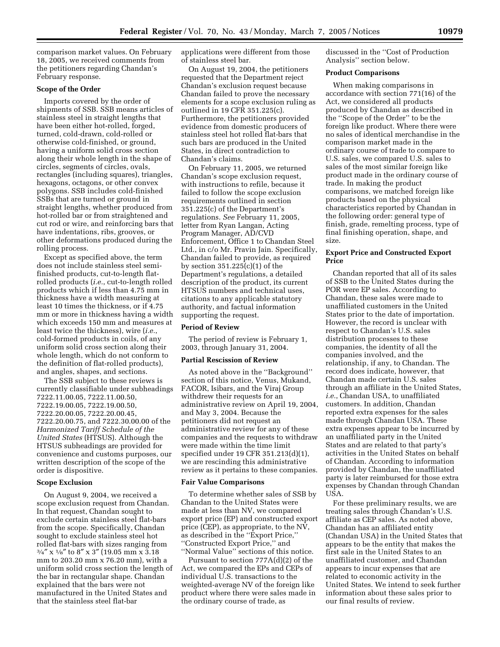comparison market values. On February 18, 2005, we received comments from the petitioners regarding Chandan's February response.

### **Scope of the Order**

Imports covered by the order of shipments of SSB. SSB means articles of stainless steel in straight lengths that have been either hot-rolled, forged, turned, cold-drawn, cold-rolled or otherwise cold-finished, or ground, having a uniform solid cross section along their whole length in the shape of circles, segments of circles, ovals, rectangles (including squares), triangles, hexagons, octagons, or other convex polygons. SSB includes cold-finished SSBs that are turned or ground in straight lengths, whether produced from hot-rolled bar or from straightened and cut rod or wire, and reinforcing bars that have indentations, ribs, grooves, or other deformations produced during the rolling process.

Except as specified above, the term does not include stainless steel semifinished products, cut-to-length flatrolled products (*i.e.*, cut-to-length rolled products which if less than 4.75 mm in thickness have a width measuring at least 10 times the thickness, or if 4.75 mm or more in thickness having a width which exceeds 150 mm and measures at least twice the thickness), wire (*i.e.*, cold-formed products in coils, of any uniform solid cross section along their whole length, which do not conform to the definition of flat-rolled products), and angles, shapes, and sections.

The SSB subject to these reviews is currently classifiable under subheadings 7222.11.00.05, 7222.11.00.50, 7222.19.00.05, 7222.19.00.50, 7222.20.00.05, 7222.20.00.45, 7222.20.00.75, and 7222.30.00.00 of the *Harmonized Tariff Schedule of the United States* (HTSUS). Although the HTSUS subheadings are provided for convenience and customs purposes, our written description of the scope of the order is dispositive.

#### **Scope Exclusion**

On August 9, 2004, we received a scope exclusion request from Chandan. In that request, Chandan sought to exclude certain stainless steel flat-bars from the scope. Specifically, Chandan sought to exclude stainless steel hot rolled flat-bars with sizes ranging from  $3/4''$  x  $1/8''$  to  $8''$  x 3" (19.05 mm x 3.18) mm to 203.20 mm x 76.20 mm), with a uniform solid cross section the length of the bar in rectangular shape. Chandan explained that the bars were not manufactured in the United States and that the stainless steel flat-bar

applications were different from those of stainless steel bar.

On August 19, 2004, the petitioners requested that the Department reject Chandan's exclusion request because Chandan failed to prove the necessary elements for a scope exclusion ruling as outlined in 19 CFR 351.225(c). Furthermore, the petitioners provided evidence from domestic producers of stainless steel hot rolled flat-bars that such bars are produced in the United States, in direct contradiction to Chandan's claims.

On February 11, 2005, we returned Chandan's scope exclusion request, with instructions to refile, because it failed to follow the scope exclusion requirements outlined in section 351.225(c) of the Department's regulations. *See* February 11, 2005, letter from Ryan Langan, Acting Program Manager, AD/CVD Enforcement, Office 1 to Chandan Steel Ltd., in c/o Mr. Pravin Jain. Specifically, Chandan failed to provide, as required by section 351.225(c)(1) of the Department's regulations, a detailed description of the product, its current HTSUS numbers and technical uses, citations to any applicable statutory authority, and factual information supporting the request.

### **Period of Review**

The period of review is February 1, 2003, through January 31, 2004.

### **Partial Rescission of Review**

As noted above in the ''Background'' section of this notice, Venus, Mukand, FACOR, Isibars, and the Viraj Group withdrew their requests for an administrative review on April 19, 2004, and May 3, 2004. Because the petitioners did not request an administrative review for any of these companies and the requests to withdraw were made within the time limit specified under 19 CFR 351.213(d)(1), we are rescinding this administrative review as it pertains to these companies.

#### **Fair Value Comparisons**

To determine whether sales of SSB by Chandan to the United States were made at less than NV, we compared export price (EP) and constructed export price (CEP), as appropriate, to the NV, as described in the ''Export Price,'' ''Constructed Export Price,'' and ''Normal Value'' sections of this notice.

Pursuant to section 777A(d)(2) of the Act, we compared the EPs and CEPs of individual U.S. transactions to the weighted-average NV of the foreign like product where there were sales made in the ordinary course of trade, as

discussed in the ''Cost of Production Analysis'' section below.

# **Product Comparisons**

When making comparisons in accordance with section 771(16) of the Act, we considered all products produced by Chandan as described in the ''Scope of the Order'' to be the foreign like product. Where there were no sales of identical merchandise in the comparison market made in the ordinary course of trade to compare to U.S. sales, we compared U.S. sales to sales of the most similar foreign like product made in the ordinary course of trade. In making the product comparisons, we matched foreign like products based on the physical characteristics reported by Chandan in the following order: general type of finish, grade, remelting process, type of final finishing operation, shape, and size.

# **Export Price and Constructed Export Price**

Chandan reported that all of its sales of SSB to the United States during the POR were EP sales. According to Chandan, these sales were made to unaffiliated customers in the United States prior to the date of importation. However, the record is unclear with respect to Chandan's U.S. sales distribution processes to these companies, the identity of all the companies involved, and the relationship, if any, to Chandan. The record does indicate, however, that Chandan made certain U.S. sales through an affiliate in the United States, *i.e.*, Chandan USA, to unaffiliated customers. In addition, Chandan reported extra expenses for the sales made through Chandan USA. These extra expenses appear to be incurred by an unaffiliated party in the United States and are related to that party's activities in the United States on behalf of Chandan. According to information provided by Chandan, the unaffiliated party is later reimbursed for those extra expenses by Chandan through Chandan USA.

For these preliminary results, we are treating sales through Chandan's U.S. affiliate as CEP sales. As noted above, Chandan has an affiliated entity (Chandan USA) in the United States that appears to be the entity that makes the first sale in the United States to an unaffiliated customer, and Chandan appears to incur expenses that are related to economic activity in the United States. We intend to seek further information about these sales prior to our final results of review.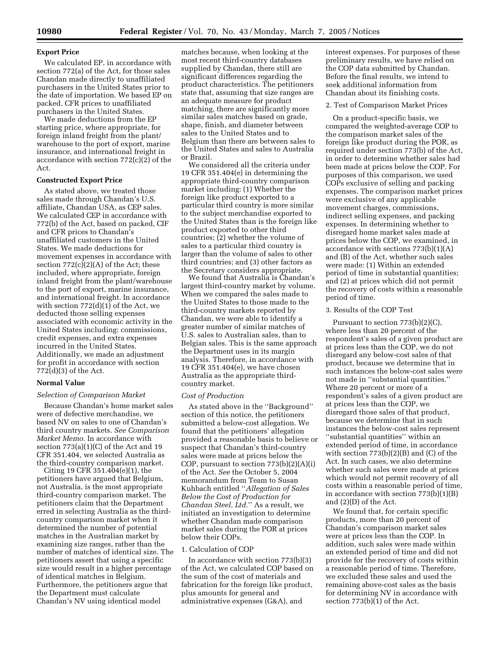# **Export Price**

We calculated EP, in accordance with section 772(a) of the Act, for those sales Chandan made directly to unaffiliated purchasers in the United States prior to the date of importation. We based EP on packed, CFR prices to unaffiliated purchasers in the United States.

We made deductions from the EP starting price, where appropriate, for foreign inland freight from the plant/ warehouse to the port of export, marine insurance, and international freight in accordance with section 772(c)(2) of the Act.

# **Constructed Export Price**

As stated above, we treated those sales made through Chandan's U.S. affiliate, Chandan USA, as CEP sales. We calculated CEP in accordance with 772(b) of the Act, based on packed, CIF and CFR prices to Chandan's unaffiliated customers in the United States. We made deductions for movement expenses in accordance with section  $772(c)(2)(A)$  of the Act; these included, where appropriate, foreign inland freight from the plant/warehouse to the port of export, marine insurance, and international freight. In accordance with section 772(d)(1) of the Act, we deducted those selling expenses associated with economic activity in the United States including: commissions, credit expenses, and extra expenses incurred in the United States. Additionally, we made an adjustment for profit in accordance with section 772(d)(3) of the Act.

# **Normal Value**

# *Selection of Comparison Market*

Because Chandan's home market sales were of defective merchandise, we based NV on sales to one of Chandan's third country markets. *See Comparison Market Memo.* In accordance with section 773(a)(1)(C) of the Act and 19 CFR 351.404, we selected Australia as the third-country comparison market.

Citing 19 CFR 351.404(e)(1), the petitioners have argued that Belgium, not Australia, is the most appropriate third-country comparison market. The petitioners claim that the Department erred in selecting Australia as the thirdcountry comparison market when it determined the number of potential matches in the Australian market by examining size ranges, rather than the number of matches of identical size. The petitioners assert that using a specific size would result in a higher percentage of identical matches in Belgium. Furthermore, the petitioners argue that the Department must calculate Chandan's NV using identical model

matches because, when looking at the most recent third-country databases supplied by Chandan, there still are significant differences regarding the product characteristics. The petitioners state that, assuming that size ranges are an adequate measure for product matching, there are significantly more similar sales matches based on grade, shape, finish, and diameter between sales to the United States and to Belgium than there are between sales to the United States and sales to Australia or Brazil.

We considered all the criteria under 19 CFR 351.404(e) in determining the appropriate third-country comparison market including: (1) Whether the foreign like product exported to a particular third country is more similar to the subject merchandise exported to the United States than is the foreign like product exported to other third countries; (2) whether the volume of sales to a particular third country is larger than the volume of sales to other third countries; and (3) other factors as the Secretary considers appropriate.

We found that Australia is Chandan's largest third-country market by volume. When we compared the sales made to the United States to those made to the third-country markets reported by Chandan, we were able to identify a greater number of similar matches of U.S. sales to Australian sales, than to Belgian sales. This is the same approach the Department uses in its margin analysis. Therefore, in accordance with 19 CFR 351.404(e), we have chosen Australia as the appropriate thirdcountry market.

#### *Cost of Production*

As stated above in the ''Background'' section of this notice, the petitioners submitted a below-cost allegation. We found that the petitioners' allegation provided a reasonable basis to believe or suspect that Chandan's third-country sales were made at prices below the COP, pursuant to section 773(b)(2)(A)(i) of the Act. *See* the October 5, 2004 memorandum from Team to Susan Kuhbach entitled ''*Allegation of Sales Below the Cost of Production for Chandan Steel, Ltd.*'' As a result, we initiated an investigation to determine whether Chandan made comparison market sales during the POR at prices below their COPs.

#### 1. Calculation of COP

In accordance with section 773(b)(3) of the Act, we calculated COP based on the sum of the cost of materials and fabrication for the foreign like product, plus amounts for general and administrative expenses (G&A), and

interest expenses. For purposes of these preliminary results, we have relied on the COP data submitted by Chandan. Before the final results, we intend to seek additional information from Chandan about its finishing costs.

#### 2. Test of Comparison Market Prices

On a product-specific basis, we compared the weighted-average COP to the comparison market sales of the foreign like product during the POR, as required under section 773(b) of the Act, in order to determine whether sales had been made at prices below the COP. For purposes of this comparison, we used COPs exclusive of selling and packing expenses. The comparison market prices were exclusive of any applicable movement charges, commissions, indirect selling expenses, and packing expenses. In determining whether to disregard home market sales made at prices below the COP, we examined, in accordance with sections 773(b)(1)(A) and (B) of the Act, whether such sales were made: (1) Within an extended period of time in substantial quantities; and (2) at prices which did not permit the recovery of costs within a reasonable period of time.

### 3. Results of the COP Test

Pursuant to section 773(b)(2)(C), where less than 20 percent of the respondent's sales of a given product are at prices less than the COP, we do not disregard any below-cost sales of that product, because we determine that in such instances the below-cost sales were not made in ''substantial quantities.'' Where 20 percent or more of a respondent's sales of a given product are at prices less than the COP, we disregard those sales of that product, because we determine that in such instances the below-cost sales represent ''substantial quantities'' within an extended period of time, in accordance with section 773(b)(2)(B) and (C) of the Act. In such cases, we also determine whether such sales were made at prices which would not permit recovery of all costs within a reasonable period of time, in accordance with section 773(b)(1)(B) and (2)(D) of the Act.

We found that, for certain specific products, more than 20 percent of Chandan's comparison market sales were at prices less than the COP. In addition, such sales were made within an extended period of time and did not provide for the recovery of costs within a reasonable period of time. Therefore, we excluded these sales and used the remaining above-cost sales as the basis for determining NV in accordance with section 773(b)(1) of the Act.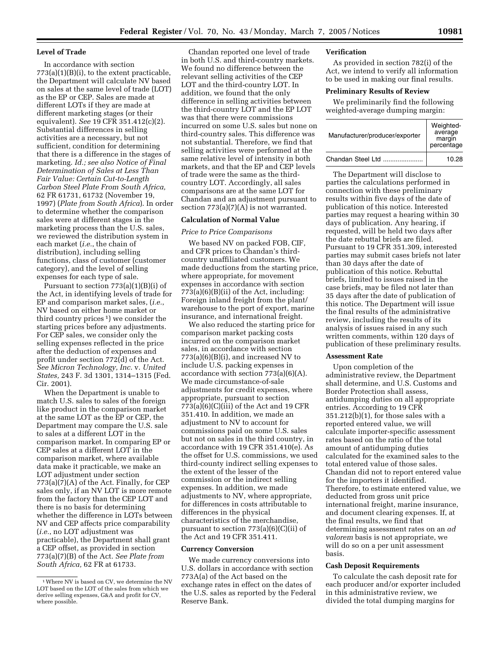# **Level of Trade**

In accordance with section  $773(a)(1)(B)(i)$ , to the extent practicable, the Department will calculate NV based on sales at the same level of trade (LOT) as the EP or CEP. Sales are made at different LOTs if they are made at different marketing stages (or their equivalent). *See* 19 CFR 351.412(c)(2). Substantial differences in selling activities are a necessary, but not sufficient, condition for determining that there is a difference in the stages of marketing. *Id.; see also Notice of Final Determination of Sales at Less Than Fair Value: Certain Cut-to-Length Carbon Steel Plate From South Africa,* 62 FR 61731, 61732 (November 19, 1997) (*Plate from South Africa*). In order to determine whether the comparison sales were at different stages in the marketing process than the U.S. sales, we reviewed the distribution system in each market (*i.e.*, the chain of distribution), including selling functions, class of customer (customer category), and the level of selling expenses for each type of sale.

Pursuant to section  $773(a)(1)(B)(i)$  of the Act, in identifying levels of trade for EP and comparison market sales, (*i.e.*, NV based on either home market or third country prices 1) we consider the starting prices before any adjustments. For CEP sales, we consider only the selling expenses reflected in the price after the deduction of expenses and profit under section 772(d) of the Act. *See Micron Technology, Inc.* v. *United States,* 243 F. 3d 1301, 1314–1315 (Fed. Cir. 2001).

When the Department is unable to match U.S. sales to sales of the foreign like product in the comparison market at the same LOT as the EP or CEP, the Department may compare the U.S. sale to sales at a different LOT in the comparison market. In comparing EP or CEP sales at a different LOT in the comparison market, where available data make it practicable, we make an LOT adjustment under section  $773(a)(7)(A)$  of the Act. Finally, for CEP sales only, if an NV LOT is more remote from the factory than the CEP LOT and there is no basis for determining whether the difference in LOTs between NV and CEP affects price comparability (*i.e.*, no LOT adjustment was practicable), the Department shall grant a CEP offset, as provided in section 773(a)(7)(B) of the Act. *See Plate from South Africa,* 62 FR at 61733.

Chandan reported one level of trade in both U.S. and third-country markets. We found no difference between the relevant selling activities of the CEP LOT and the third-country LOT. In addition, we found that the only difference in selling activities between the third-country LOT and the EP LOT was that there were commissions incurred on some U.S. sales but none on third-country sales. This difference was not substantial. Therefore, we find that selling activities were performed at the same relative level of intensity in both markets, and that the EP and CEP levels of trade were the same as the thirdcountry LOT. Accordingly, all sales comparisons are at the same LOT for Chandan and an adjustment pursuant to section 773(a)(7)(A) is not warranted.

# **Calculation of Normal Value**

### *Price to Price Comparisons*

We based NV on packed FOB, CIF, and CFR prices to Chandan's thirdcountry unaffiliated customers. We made deductions from the starting price, where appropriate, for movement expenses in accordance with section 773(a)(6)(B)(ii) of the Act, including: Foreign inland freight from the plant/ warehouse to the port of export, marine insurance, and international freight.

We also reduced the starting price for comparison market packing costs incurred on the comparison market sales, in accordance with section 773(a)(6)(B)(i), and increased NV to include U.S. packing expenses in accordance with section 773(a)(6)(A). We made circumstance-of-sale adjustments for credit expenses, where appropriate, pursuant to section  $773(a)(6)(C)(iii)$  of the Act and 19 CFR 351.410. In addition, we made an adjustment to NV to account for commissions paid on some U.S. sales but not on sales in the third country, in accordance with 19 CFR 351.410(e). As the offset for U.S. commissions, we used third-county indirect selling expenses to the extent of the lesser of the commission or the indirect selling expenses. In addition, we made adjustments to NV, where appropriate, for differences in costs attributable to differences in the physical characteristics of the merchandise, pursuant to section 773(a)(6)(C)(ii) of the Act and 19 CFR 351.411.

### **Currency Conversion**

We made currency conversions into U.S. dollars in accordance with section 773A(a) of the Act based on the exchange rates in effect on the dates of the U.S. sales as reported by the Federal Reserve Bank.

# **Verification**

As provided in section 782(i) of the Act, we intend to verify all information to be used in making our final results.

#### **Preliminary Results of Review**

We preliminarily find the following weighted-average dumping margin:

| Manufacturer/producer/exporter | Weighted-<br>average<br>margin<br>percentage |
|--------------------------------|----------------------------------------------|
| Chandan Steel Ltd              | 10.28                                        |

The Department will disclose to parties the calculations performed in connection with these preliminary results within five days of the date of publication of this notice. Interested parties may request a hearing within 30 days of publication. Any hearing, if requested, will be held two days after the date rebuttal briefs are filed. Pursuant to 19 CFR 351.309, interested parties may submit cases briefs not later than 30 days after the date of publication of this notice. Rebuttal briefs, limited to issues raised in the case briefs, may be filed not later than 35 days after the date of publication of this notice. The Department will issue the final results of the administrative review, including the results of its analysis of issues raised in any such written comments, within 120 days of publication of these preliminary results.

#### **Assessment Rate**

Upon completion of the administrative review, the Department shall determine, and U.S. Customs and Border Protection shall assess, antidumping duties on all appropriate entries. According to 19 CFR 351.212(b)(1), for those sales with a reported entered value, we will calculate importer-specific assessment rates based on the ratio of the total amount of antidumping duties calculated for the examined sales to the total entered value of those sales. Chandan did not to report entered value for the importers it identified. Therefore, to estimate entered value, we deducted from gross unit price international freight, marine insurance, and document clearing expenses. If, at the final results, we find that determining assessment rates on an *ad valorem* basis is not appropriate, we will do so on a per unit assessment basis.

# **Cash Deposit Requirements**

To calculate the cash deposit rate for each producer and/or exporter included in this administrative review, we divided the total dumping margins for

<sup>1</sup>Where NV is based on CV, we determine the NV LOT based on the LOT of the sales from which we derive selling expenses, G&A and profit for CV, where possible.